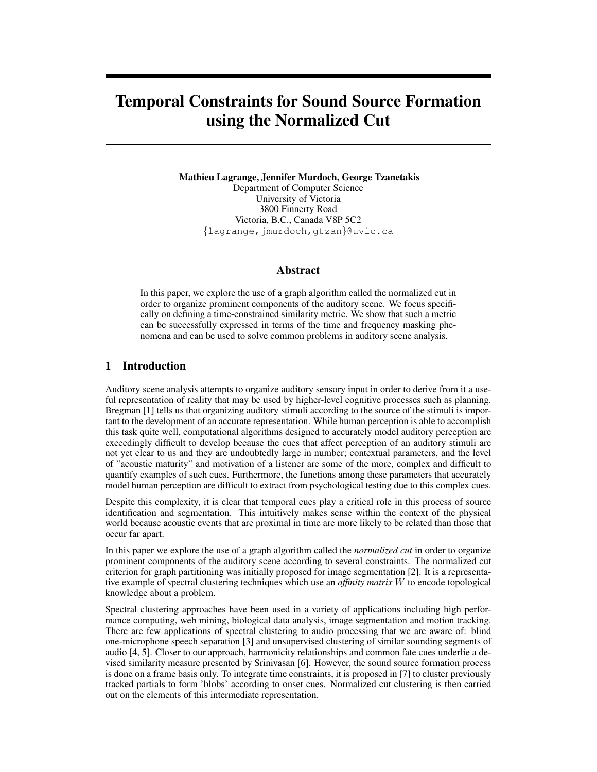# Temporal Constraints for Sound Source Formation using the Normalized Cut

Mathieu Lagrange, Jennifer Murdoch, George Tzanetakis Department of Computer Science University of Victoria 3800 Finnerty Road Victoria, B.C., Canada V8P 5C2 {lagrange,jmurdoch,gtzan}@uvic.ca

### Abstract

In this paper, we explore the use of a graph algorithm called the normalized cut in order to organize prominent components of the auditory scene. We focus specifically on defining a time-constrained similarity metric. We show that such a metric can be successfully expressed in terms of the time and frequency masking phenomena and can be used to solve common problems in auditory scene analysis.

## 1 Introduction

Auditory scene analysis attempts to organize auditory sensory input in order to derive from it a useful representation of reality that may be used by higher-level cognitive processes such as planning. Bregman [1] tells us that organizing auditory stimuli according to the source of the stimuli is important to the development of an accurate representation. While human perception is able to accomplish this task quite well, computational algorithms designed to accurately model auditory perception are exceedingly difficult to develop because the cues that affect perception of an auditory stimuli are not yet clear to us and they are undoubtedly large in number; contextual parameters, and the level of "acoustic maturity" and motivation of a listener are some of the more, complex and difficult to quantify examples of such cues. Furthermore, the functions among these parameters that accurately model human perception are difficult to extract from psychological testing due to this complex cues.

Despite this complexity, it is clear that temporal cues play a critical role in this process of source identification and segmentation. This intuitively makes sense within the context of the physical world because acoustic events that are proximal in time are more likely to be related than those that occur far apart.

In this paper we explore the use of a graph algorithm called the *normalized cut* in order to organize prominent components of the auditory scene according to several constraints. The normalized cut criterion for graph partitioning was initially proposed for image segmentation [2]. It is a representative example of spectral clustering techniques which use an *affinity matrix* W to encode topological knowledge about a problem.

Spectral clustering approaches have been used in a variety of applications including high performance computing, web mining, biological data analysis, image segmentation and motion tracking. There are few applications of spectral clustering to audio processing that we are aware of: blind one-microphone speech separation [3] and unsupervised clustering of similar sounding segments of audio [4, 5]. Closer to our approach, harmonicity relationships and common fate cues underlie a devised similarity measure presented by Srinivasan [6]. However, the sound source formation process is done on a frame basis only. To integrate time constraints, it is proposed in [7] to cluster previously tracked partials to form 'blobs' according to onset cues. Normalized cut clustering is then carried out on the elements of this intermediate representation.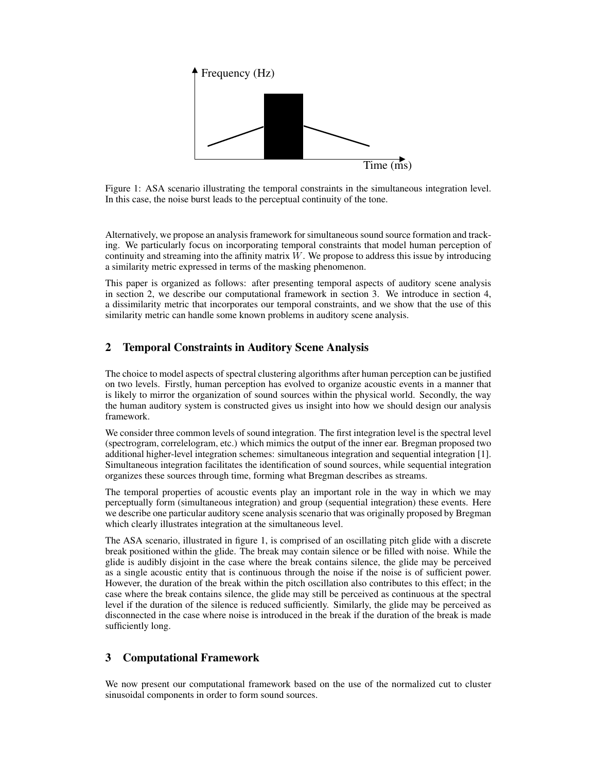

Figure 1: ASA scenario illustrating the temporal constraints in the simultaneous integration level. In this case, the noise burst leads to the perceptual continuity of the tone.

Alternatively, we propose an analysis framework for simultaneous sound source formation and tracking. We particularly focus on incorporating temporal constraints that model human perception of continuity and streaming into the affinity matrix  $W$ . We propose to address this issue by introducing a similarity metric expressed in terms of the masking phenomenon.

This paper is organized as follows: after presenting temporal aspects of auditory scene analysis in section 2, we describe our computational framework in section 3. We introduce in section 4, a dissimilarity metric that incorporates our temporal constraints, and we show that the use of this similarity metric can handle some known problems in auditory scene analysis.

# 2 Temporal Constraints in Auditory Scene Analysis

The choice to model aspects of spectral clustering algorithms after human perception can be justified on two levels. Firstly, human perception has evolved to organize acoustic events in a manner that is likely to mirror the organization of sound sources within the physical world. Secondly, the way the human auditory system is constructed gives us insight into how we should design our analysis framework.

We consider three common levels of sound integration. The first integration level is the spectral level (spectrogram, correlelogram, etc.) which mimics the output of the inner ear. Bregman proposed two additional higher-level integration schemes: simultaneous integration and sequential integration [1]. Simultaneous integration facilitates the identification of sound sources, while sequential integration organizes these sources through time, forming what Bregman describes as streams.

The temporal properties of acoustic events play an important role in the way in which we may perceptually form (simultaneous integration) and group (sequential integration) these events. Here we describe one particular auditory scene analysis scenario that was originally proposed by Bregman which clearly illustrates integration at the simultaneous level.

The ASA scenario, illustrated in figure 1, is comprised of an oscillating pitch glide with a discrete break positioned within the glide. The break may contain silence or be filled with noise. While the glide is audibly disjoint in the case where the break contains silence, the glide may be perceived as a single acoustic entity that is continuous through the noise if the noise is of sufficient power. However, the duration of the break within the pitch oscillation also contributes to this effect; in the case where the break contains silence, the glide may still be perceived as continuous at the spectral level if the duration of the silence is reduced sufficiently. Similarly, the glide may be perceived as disconnected in the case where noise is introduced in the break if the duration of the break is made sufficiently long.

# 3 Computational Framework

We now present our computational framework based on the use of the normalized cut to cluster sinusoidal components in order to form sound sources.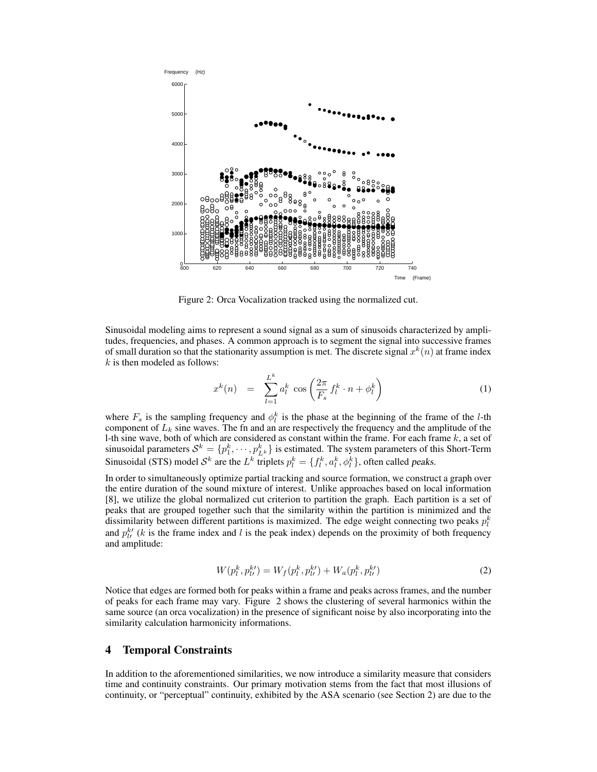

Figure 2: Orca Vocalization tracked using the normalized cut.

Sinusoidal modeling aims to represent a sound signal as a sum of sinusoids characterized by amplitudes, frequencies, and phases. A common approach is to segment the signal into successive frames of small duration so that the stationarity assumption is met. The discrete signal  $x^k(n)$  at frame index  $k$  is then modeled as follows:

$$
x^{k}(n) = \sum_{l=1}^{L^{k}} a_{l}^{k} \cos\left(\frac{2\pi}{F_{s}} f_{l}^{k} \cdot n + \phi_{l}^{k}\right)
$$
 (1)

where  $F_s$  is the sampling frequency and  $\phi_l^k$  is the phase at the beginning of the frame of the *l*-th component of  $L_k$  sine waves. The fn and an are respectively the frequency and the amplitude of the l-th sine wave, both of which are considered as constant within the frame. For each frame  $k$ , a set of sinusoidal parameters  $S^k = \{p_1^k, \dots, p_{L^k}^k\}$  is estimated. The system parameters of this Short-Term Sinusoidal (STS) model  $\mathcal{S}^k$  are the  $L^k$  triplets  $p_l^k = \{f_l^k, a_l^k, \phi_l^k\}$ , often called *peaks*.

In order to simultaneously optimize partial tracking and source formation, we construct a graph over the entire duration of the sound mixture of interest. Unlike approaches based on local information [8], we utilize the global normalized cut criterion to partition the graph. Each partition is a set of peaks that are grouped together such that the similarity within the partition is minimized and the dissimilarity between different partitions is maximized. The edge weight connecting two peaks  $p_l^k$ and  $p_l^{k'}$  (k is the frame index and l is the peak index) depends on the proximity of both frequency and amplitude:

$$
W(p_l^k, p_{l'}^{k'}) = W_f(p_l^k, p_{l'}^{k'}) + W_a(p_l^k, p_{l'}^{k'})
$$
\n(2)

Notice that edges are formed both for peaks within a frame and peaks across frames, and the number of peaks for each frame may vary. Figure 2 shows the clustering of several harmonics within the same source (an orca vocalization) in the presence of significant noise by also incorporating into the similarity calculation harmonicity informations.

#### 4 Temporal Constraints

In addition to the aforementioned similarities, we now introduce a similarity measure that considers time and continuity constraints. Our primary motivation stems from the fact that most illusions of continuity, or "perceptual" continuity, exhibited by the ASA scenario (see Section 2) are due to the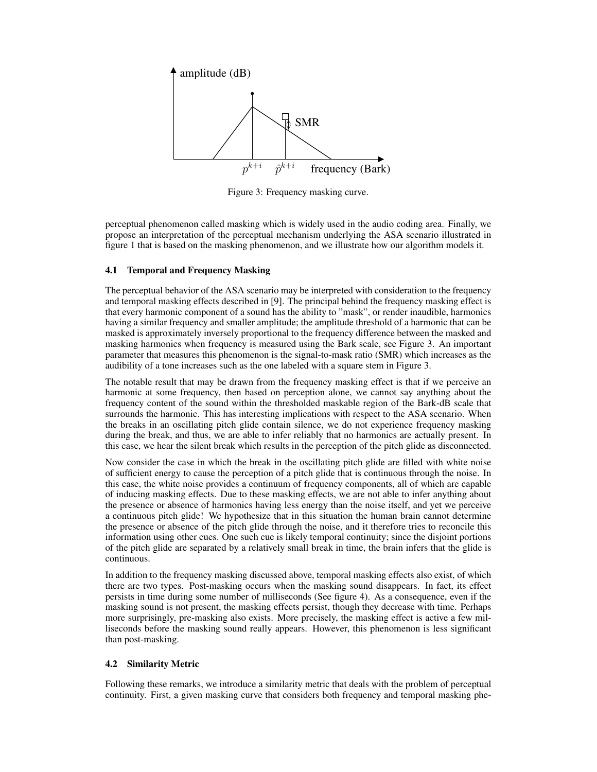

Figure 3: Frequency masking curve.

perceptual phenomenon called masking which is widely used in the audio coding area. Finally, we propose an interpretation of the perceptual mechanism underlying the ASA scenario illustrated in figure 1 that is based on the masking phenomenon, and we illustrate how our algorithm models it.

## 4.1 Temporal and Frequency Masking

The perceptual behavior of the ASA scenario may be interpreted with consideration to the frequency and temporal masking effects described in [9]. The principal behind the frequency masking effect is that every harmonic component of a sound has the ability to "mask", or render inaudible, harmonics having a similar frequency and smaller amplitude; the amplitude threshold of a harmonic that can be masked is approximately inversely proportional to the frequency difference between the masked and masking harmonics when frequency is measured using the Bark scale, see Figure 3. An important parameter that measures this phenomenon is the signal-to-mask ratio (SMR) which increases as the audibility of a tone increases such as the one labeled with a square stem in Figure 3.

The notable result that may be drawn from the frequency masking effect is that if we perceive an harmonic at some frequency, then based on perception alone, we cannot say anything about the frequency content of the sound within the thresholded maskable region of the Bark-dB scale that surrounds the harmonic. This has interesting implications with respect to the ASA scenario. When the breaks in an oscillating pitch glide contain silence, we do not experience frequency masking during the break, and thus, we are able to infer reliably that no harmonics are actually present. In this case, we hear the silent break which results in the perception of the pitch glide as disconnected.

Now consider the case in which the break in the oscillating pitch glide are filled with white noise of sufficient energy to cause the perception of a pitch glide that is continuous through the noise. In this case, the white noise provides a continuum of frequency components, all of which are capable of inducing masking effects. Due to these masking effects, we are not able to infer anything about the presence or absence of harmonics having less energy than the noise itself, and yet we perceive a continuous pitch glide! We hypothesize that in this situation the human brain cannot determine the presence or absence of the pitch glide through the noise, and it therefore tries to reconcile this information using other cues. One such cue is likely temporal continuity; since the disjoint portions of the pitch glide are separated by a relatively small break in time, the brain infers that the glide is continuous.

In addition to the frequency masking discussed above, temporal masking effects also exist, of which there are two types. Post-masking occurs when the masking sound disappears. In fact, its effect persists in time during some number of milliseconds (See figure 4). As a consequence, even if the masking sound is not present, the masking effects persist, though they decrease with time. Perhaps more surprisingly, pre-masking also exists. More precisely, the masking effect is active a few milliseconds before the masking sound really appears. However, this phenomenon is less significant than post-masking.

#### 4.2 Similarity Metric

Following these remarks, we introduce a similarity metric that deals with the problem of perceptual continuity. First, a given masking curve that considers both frequency and temporal masking phe-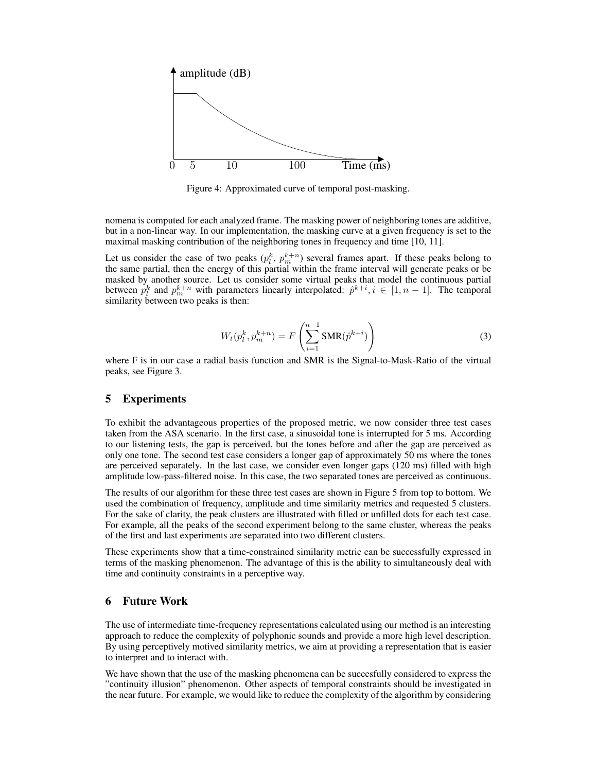

Figure 4: Approximated curve of temporal post-masking.

nomena is computed for each analyzed frame. The masking power of neighboring tones are additive, but in a non-linear way. In our implementation, the masking curve at a given frequency is set to the maximal masking contribution of the neighboring tones in frequency and time [10, 11].

Let us consider the case of two peaks  $(p_l^k, p_m^{k+n})$  several frames apart. If these peaks belong to the same partial, then the energy of this partial within the frame interval will generate peaks or be masked by another source. Let us consider some virtual peaks that model the continuous partial between  $p_l^k$  and  $p_m^{k+n}$  with parameters linearly interpolated:  $\hat{p}^{k+i}$ ,  $i \in [1, n-1]$ . The temporal similarity between two peaks is then:

$$
W_t(p_l^k, p_m^{k+n}) = F\left(\sum_{i=1}^{n-1} \text{SMR}(\hat{p}^{k+i})\right)
$$
 (3)

where F is in our case a radial basis function and SMR is the Signal-to-Mask-Ratio of the virtual peaks, see Figure 3.

## 5 Experiments

To exhibit the advantageous properties of the proposed metric, we now consider three test cases taken from the ASA scenario. In the first case, a sinusoidal tone is interrupted for 5 ms. According to our listening tests, the gap is perceived, but the tones before and after the gap are perceived as only one tone. The second test case considers a longer gap of approximately 50 ms where the tones are perceived separately. In the last case, we consider even longer gaps (120 ms) filled with high amplitude low-pass-filtered noise. In this case, the two separated tones are perceived as continuous.

The results of our algorithm for these three test cases are shown in Figure 5 from top to bottom. We used the combination of frequency, amplitude and time similarity metrics and requested 5 clusters. For the sake of clarity, the peak clusters are illustrated with filled or unfilled dots for each test case. For example, all the peaks of the second experiment belong to the same cluster, whereas the peaks of the first and last experiments are separated into two different clusters.

These experiments show that a time-constrained similarity metric can be successfully expressed in terms of the masking phenomenon. The advantage of this is the ability to simultaneously deal with time and continuity constraints in a perceptive way.

# 6 Future Work

The use of intermediate time-frequency representations calculated using our method is an interesting approach to reduce the complexity of polyphonic sounds and provide a more high level description. By using perceptively motived similarity metrics, we aim at providing a representation that is easier to interpret and to interact with.

We have shown that the use of the masking phenomena can be succesfully considered to express the "continuity illusion" phenomenon. Other aspects of temporal constraints should be investigated in the near future. For example, we would like to reduce the complexity of the algorithm by considering